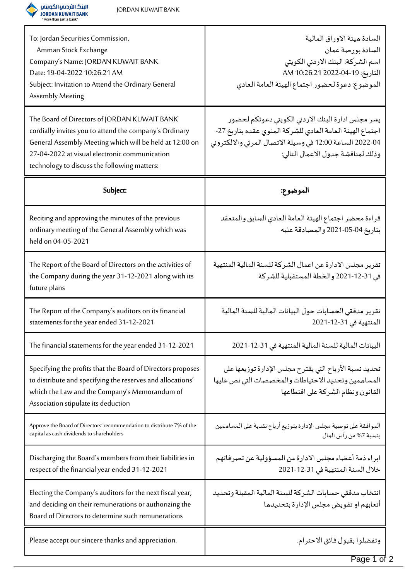

| To: Jordan Securities Commission,<br>Amman Stock Exchange<br>Company's Name: JORDAN KUWAIT BANK<br>Date: 19-04-2022 10:26:21 AM<br>Subject: Invitation to Attend the Ordinary General<br>Assembly Meeting                                                          | السادة ميئة الاوراق المالية<br>السادة بورصة عمان<br>اسم الشركة: البنك الاردني الكويتي<br>التاريخ: 19-04-2022 20:26 AM<br>الموضوع: دعوة لحضور اجتماع الهيئة العامة العادي                                        |
|--------------------------------------------------------------------------------------------------------------------------------------------------------------------------------------------------------------------------------------------------------------------|-----------------------------------------------------------------------------------------------------------------------------------------------------------------------------------------------------------------|
| The Board of Directors of JORDAN KUWAIT BANK<br>cordially invites you to attend the company's Ordinary<br>General Assembly Meeting which will be held at 12:00 on<br>27-04-2022 at visual electronic communication<br>technology to discuss the following matters: | يسر مجلس ادارة البنك الاردني الكويتي دعوتكم لحضور<br>اجتماع الهيئة العامة العادي للشركة المنوى عقده بتاريخ 27-<br>04-2022 الساعة 12:00 في وسيلة الاتصال المرئي والالكتروني<br>وذلك لمناقشة جدول الاعمال التالي: |
| Subject:                                                                                                                                                                                                                                                           | الموضوع:                                                                                                                                                                                                        |
| Reciting and approving the minutes of the previous<br>ordinary meeting of the General Assembly which was<br>held on 04-05-2021                                                                                                                                     | قراءة محضر اجتماع الهيئة العامة العادي السابق والمنعقد<br>بتاريخ 04-05-2021 والمصادقة عليه                                                                                                                      |
| The Report of the Board of Directors on the activities of<br>the Company during the year 31-12-2021 along with its<br>future plans                                                                                                                                 | تقرير مجلس الادارة عن اعمال الشركة للسنة المالية المنتهية<br>في 31-12-2021 والخطة المستقبلية للشركة                                                                                                             |
| The Report of the Company's auditors on its financial<br>statements for the year ended 31-12-2021                                                                                                                                                                  | تقرير مدققي الحسابات حول البيانات المالية للسنة المالية<br>المنتهية في 31-12-2021                                                                                                                               |
| The financial statements for the year ended 31-12-2021                                                                                                                                                                                                             | البيانات المالية للسنة المالية المنتهية في 31-12-2021                                                                                                                                                           |
| Specifying the profits that the Board of Directors proposes<br>to distribute and specifying the reserves and allocations'<br>which the Law and the Company's Memorandum of<br>Association stipulate its deduction                                                  | تحديد نسبة الأرباح التي يقترح مجلس الإدارة توزيعها على<br>المساهمين وتحديد الاحتياطات والمخصصات التي نص عليها<br>القانون ونظام الشركة على اقتطاعها                                                              |
| Approve the Board of Directors' recommendation to distribute 7% of the<br>capital as cash dividends to shareholders                                                                                                                                                | الموافقة على توصية مجلس الإدارة بتوزيع أرباح نقدية على المساهمين<br>بنسبة 7% من رأس المال                                                                                                                       |
| Discharging the Board's members from their liabilities in<br>respect of the financial year ended 31-12-2021                                                                                                                                                        | ابراء ذمة أعضاء مجلس الادارة من المسؤولية عن تصرفاتهم<br>خلال السنة المنتهية في 31-12-2021                                                                                                                      |
| Electing the Company's auditors for the next fiscal year,<br>and deciding on their remunerations or authorizing the<br>Board of Directors to determine such remunerations                                                                                          | انتخاب مدققي حسابات الشركة للسنة المالية المقبلة وتحديد<br>أتعابهم او تفويض مجلس الإدارة بتحديدها                                                                                                               |
| Please accept our sincere thanks and appreciation.                                                                                                                                                                                                                 | وتفضلوا بقبول فائق الاحترام.                                                                                                                                                                                    |

T

Page 1 of 2